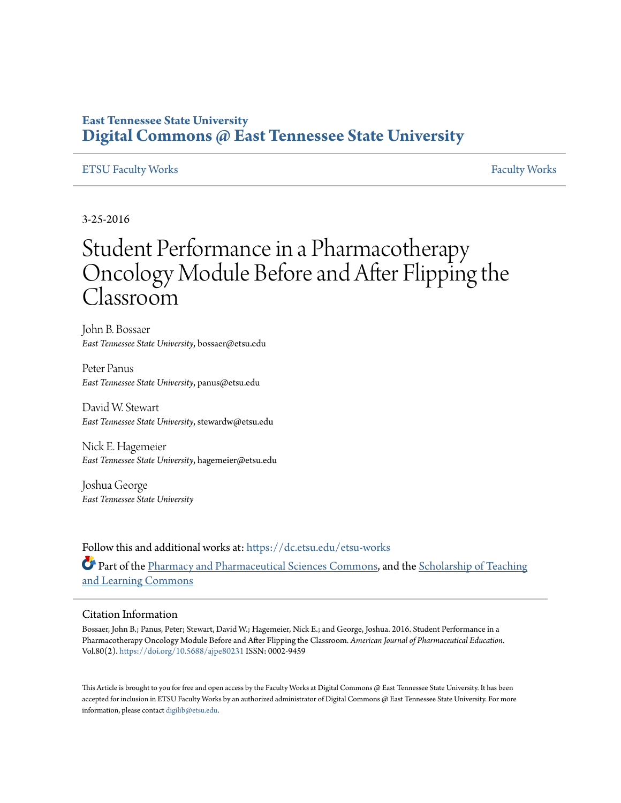## **East Tennessee State University [Digital Commons @ East Tennessee State University](https://dc.etsu.edu?utm_source=dc.etsu.edu%2Fetsu-works%2F1477&utm_medium=PDF&utm_campaign=PDFCoverPages)**

#### [ETSU Faculty Works](https://dc.etsu.edu/etsu-works?utm_source=dc.etsu.edu%2Fetsu-works%2F1477&utm_medium=PDF&utm_campaign=PDFCoverPages) [Faculty Works](https://dc.etsu.edu/faculty-works?utm_source=dc.etsu.edu%2Fetsu-works%2F1477&utm_medium=PDF&utm_campaign=PDFCoverPages) Faculty Works Faculty Works Faculty Works Faculty Works Faculty Works Faculty Works Faculty Morks Faculty Morks Faculty Morks Faculty Morks Faculty Morks Faculty Morks Faculty Morks Faculty

3-25-2016

# Student Performance in a Pharmacotherapy Oncology Module Before and After Flipping the Classroom

John B. Bossaer *East Tennessee State University*, bossaer@etsu.edu

Peter Panus *East Tennessee State University*, panus@etsu.edu

David W. Stewart *East Tennessee State University*, stewardw@etsu.edu

Nick E. Hagemeier *East Tennessee State University*, hagemeier@etsu.edu

Joshua George *East Tennessee State University*

Follow this and additional works at: [https://dc.etsu.edu/etsu-works](https://dc.etsu.edu/etsu-works?utm_source=dc.etsu.edu%2Fetsu-works%2F1477&utm_medium=PDF&utm_campaign=PDFCoverPages) Part of the [Pharmacy and Pharmaceutical Sciences Commons](http://network.bepress.com/hgg/discipline/731?utm_source=dc.etsu.edu%2Fetsu-works%2F1477&utm_medium=PDF&utm_campaign=PDFCoverPages), and the [Scholarship of Teaching](http://network.bepress.com/hgg/discipline/1328?utm_source=dc.etsu.edu%2Fetsu-works%2F1477&utm_medium=PDF&utm_campaign=PDFCoverPages) [and Learning Commons](http://network.bepress.com/hgg/discipline/1328?utm_source=dc.etsu.edu%2Fetsu-works%2F1477&utm_medium=PDF&utm_campaign=PDFCoverPages)

#### Citation Information

Bossaer, John B.; Panus, Peter; Stewart, David W.; Hagemeier, Nick E.; and George, Joshua. 2016. Student Performance in a Pharmacotherapy Oncology Module Before and After Flipping the Classroom. *American Journal of Pharmaceutical Education*. Vol.80(2). <https://doi.org/10.5688/ajpe80231> ISSN: 0002-9459

This Article is brought to you for free and open access by the Faculty Works at Digital Commons @ East Tennessee State University. It has been accepted for inclusion in ETSU Faculty Works by an authorized administrator of Digital Commons @ East Tennessee State University. For more information, please contact [digilib@etsu.edu.](mailto:digilib@etsu.edu)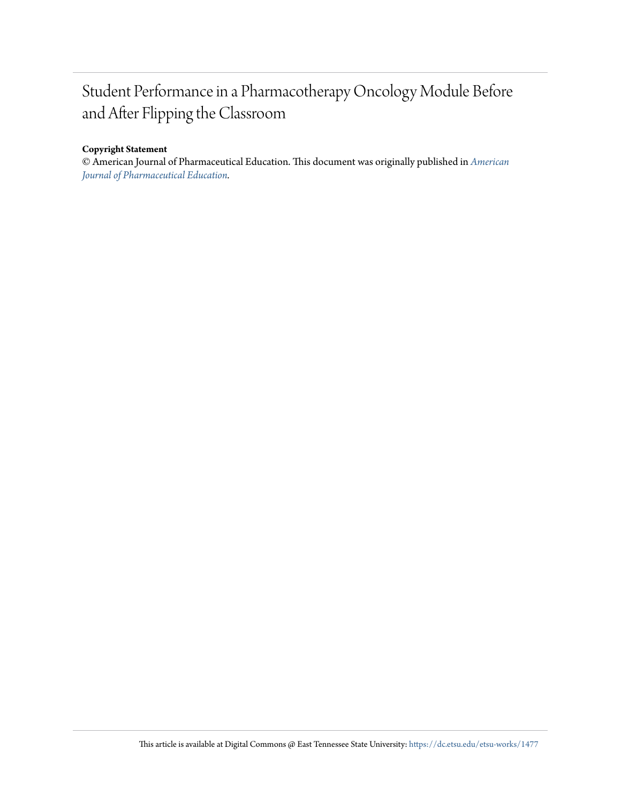## Student Performance in a Pharmacotherapy Oncology Module Before and After Flipping the Classroom

#### **Copyright Statement**

© American Journal of Pharmaceutical Education. This document was originally published in *[American](https://doi.org/10.5688/ajpe80231) [Journal of Pharmaceutical Education](https://doi.org/10.5688/ajpe80231).*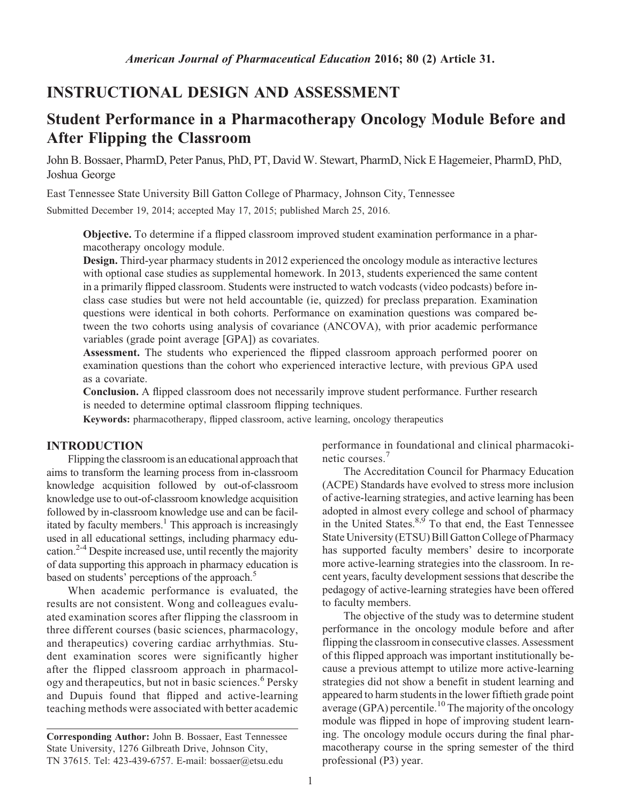## INSTRUCTIONAL DESIGN AND ASSESSMENT

## Student Performance in a Pharmacotherapy Oncology Module Before and After Flipping the Classroom

John B. Bossaer, PharmD, Peter Panus, PhD, PT, David W. Stewart, PharmD, Nick E Hagemeier, PharmD, PhD, Joshua George

East Tennessee State University Bill Gatton College of Pharmacy, Johnson City, Tennessee

Submitted December 19, 2014; accepted May 17, 2015; published March 25, 2016.

Objective. To determine if a flipped classroom improved student examination performance in a pharmacotherapy oncology module.

Design. Third-year pharmacy students in 2012 experienced the oncology module as interactive lectures with optional case studies as supplemental homework. In 2013, students experienced the same content in a primarily flipped classroom. Students were instructed to watch vodcasts (video podcasts) before inclass case studies but were not held accountable (ie, quizzed) for preclass preparation. Examination questions were identical in both cohorts. Performance on examination questions was compared between the two cohorts using analysis of covariance (ANCOVA), with prior academic performance variables (grade point average [GPA]) as covariates.

Assessment. The students who experienced the flipped classroom approach performed poorer on examination questions than the cohort who experienced interactive lecture, with previous GPA used as a covariate.

Conclusion. A flipped classroom does not necessarily improve student performance. Further research is needed to determine optimal classroom flipping techniques.

Keywords: pharmacotherapy, flipped classroom, active learning, oncology therapeutics

#### INTRODUCTION

Flipping the classroom is an educational approachthat aims to transform the learning process from in-classroom knowledge acquisition followed by out-of-classroom knowledge use to out-of-classroom knowledge acquisition followed by in-classroom knowledge use and can be facilitated by faculty members.<sup>1</sup> This approach is increasingly used in all educational settings, including pharmacy education. $2-4$  Despite increased use, until recently the majority of data supporting this approach in pharmacy education is based on students' perceptions of the approach.<sup>5</sup>

When academic performance is evaluated, the results are not consistent. Wong and colleagues evaluated examination scores after flipping the classroom in three different courses (basic sciences, pharmacology, and therapeutics) covering cardiac arrhythmias. Student examination scores were significantly higher after the flipped classroom approach in pharmacology and therapeutics, but not in basic sciences.<sup>6</sup> Persky and Dupuis found that flipped and active-learning teaching methods were associated with better academic

performance in foundational and clinical pharmacokinetic courses.<sup>7</sup>

The Accreditation Council for Pharmacy Education (ACPE) Standards have evolved to stress more inclusion of active-learning strategies, and active learning has been adopted in almost every college and school of pharmacy in the United States. $8,9$  To that end, the East Tennessee State University (ETSU) Bill Gatton College of Pharmacy has supported faculty members' desire to incorporate more active-learning strategies into the classroom. In recent years, faculty development sessions that describe the pedagogy of active-learning strategies have been offered to faculty members.

The objective of the study was to determine student performance in the oncology module before and after flipping the classroom in consecutive classes. Assessment of this flipped approach was important institutionally because a previous attempt to utilize more active-learning strategies did not show a benefit in student learning and appeared to harm students in the lower fiftieth grade point  $\arctan$  average (GPA) percentile.<sup>10</sup> The majority of the oncology module was flipped in hope of improving student learning. The oncology module occurs during the final pharmacotherapy course in the spring semester of the third professional (P3) year.

Corresponding Author: John B. Bossaer, East Tennessee State University, 1276 Gilbreath Drive, Johnson City, TN 37615. Tel: 423-439-6757. E-mail: [bossaer@etsu.edu](mailto:bossaer@etsu.edu)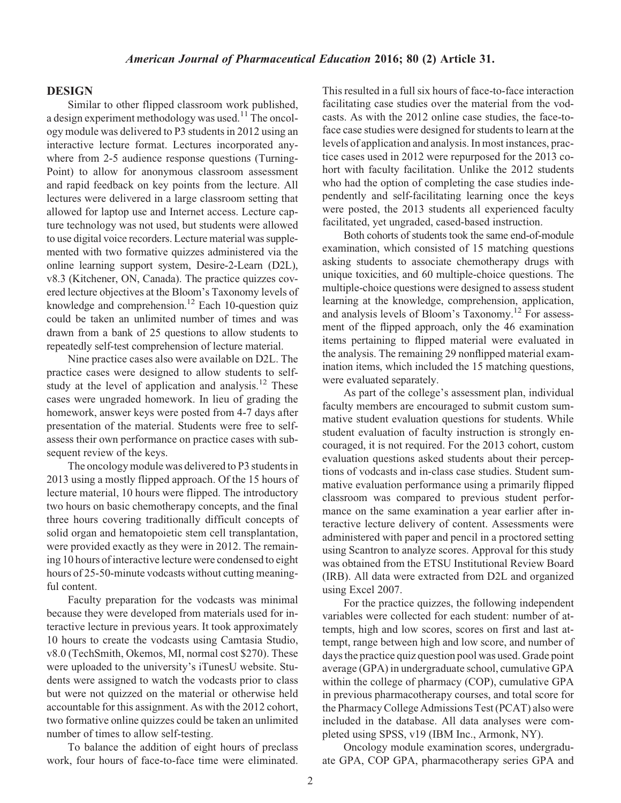#### **DESIGN**

Similar to other flipped classroom work published, a design experiment methodology was used.<sup>11</sup> The oncology module was delivered to P3 students in 2012 using an interactive lecture format. Lectures incorporated anywhere from 2-5 audience response questions (Turning-Point) to allow for anonymous classroom assessment and rapid feedback on key points from the lecture. All lectures were delivered in a large classroom setting that allowed for laptop use and Internet access. Lecture capture technology was not used, but students were allowed to use digital voice recorders. Lecture material was supplemented with two formative quizzes administered via the online learning support system, Desire-2-Learn (D2L), v8.3 (Kitchener, ON, Canada). The practice quizzes covered lecture objectives at the Bloom's Taxonomy levels of knowledge and comprehension.<sup>12</sup> Each 10-question quiz could be taken an unlimited number of times and was drawn from a bank of 25 questions to allow students to repeatedly self-test comprehension of lecture material.

Nine practice cases also were available on D2L. The practice cases were designed to allow students to selfstudy at the level of application and analysis. $12$  These cases were ungraded homework. In lieu of grading the homework, answer keys were posted from 4-7 days after presentation of the material. Students were free to selfassess their own performance on practice cases with subsequent review of the keys.

The oncology module was delivered to P3 students in 2013 using a mostly flipped approach. Of the 15 hours of lecture material, 10 hours were flipped. The introductory two hours on basic chemotherapy concepts, and the final three hours covering traditionally difficult concepts of solid organ and hematopoietic stem cell transplantation, were provided exactly as they were in 2012. The remaining 10 hours of interactive lecture were condensed to eight hours of 25-50-minute vodcasts without cutting meaningful content.

Faculty preparation for the vodcasts was minimal because they were developed from materials used for interactive lecture in previous years. It took approximately 10 hours to create the vodcasts using Camtasia Studio, v8.0 (TechSmith, Okemos, MI, normal cost \$270). These were uploaded to the university's iTunesU website. Students were assigned to watch the vodcasts prior to class but were not quizzed on the material or otherwise held accountable for this assignment. As with the 2012 cohort, two formative online quizzes could be taken an unlimited number of times to allow self-testing.

To balance the addition of eight hours of preclass work, four hours of face-to-face time were eliminated.

This resulted in a full six hours of face-to-face interaction facilitating case studies over the material from the vodcasts. As with the 2012 online case studies, the face-toface case studies were designed for students to learn at the levels of application and analysis. In most instances, practice cases used in 2012 were repurposed for the 2013 cohort with faculty facilitation. Unlike the 2012 students who had the option of completing the case studies independently and self-facilitating learning once the keys were posted, the 2013 students all experienced faculty facilitated, yet ungraded, cased-based instruction.

Both cohorts of students took the same end-of-module examination, which consisted of 15 matching questions asking students to associate chemotherapy drugs with unique toxicities, and 60 multiple-choice questions. The multiple-choice questions were designed to assess student learning at the knowledge, comprehension, application, and analysis levels of Bloom's Taxonomy.12 For assessment of the flipped approach, only the 46 examination items pertaining to flipped material were evaluated in the analysis. The remaining 29 nonflipped material examination items, which included the 15 matching questions, were evaluated separately.

As part of the college's assessment plan, individual faculty members are encouraged to submit custom summative student evaluation questions for students. While student evaluation of faculty instruction is strongly encouraged, it is not required. For the 2013 cohort, custom evaluation questions asked students about their perceptions of vodcasts and in-class case studies. Student summative evaluation performance using a primarily flipped classroom was compared to previous student performance on the same examination a year earlier after interactive lecture delivery of content. Assessments were administered with paper and pencil in a proctored setting using Scantron to analyze scores. Approval for this study was obtained from the ETSU Institutional Review Board (IRB). All data were extracted from D2L and organized using Excel 2007.

For the practice quizzes, the following independent variables were collected for each student: number of attempts, high and low scores, scores on first and last attempt, range between high and low score, and number of days the practice quiz question pool was used. Grade point average (GPA) in undergraduate school, cumulative GPA within the college of pharmacy (COP), cumulative GPA in previous pharmacotherapy courses, and total score for the Pharmacy College Admissions Test (PCAT) also were included in the database. All data analyses were completed using SPSS, v19 (IBM Inc., Armonk, NY).

Oncology module examination scores, undergraduate GPA, COP GPA, pharmacotherapy series GPA and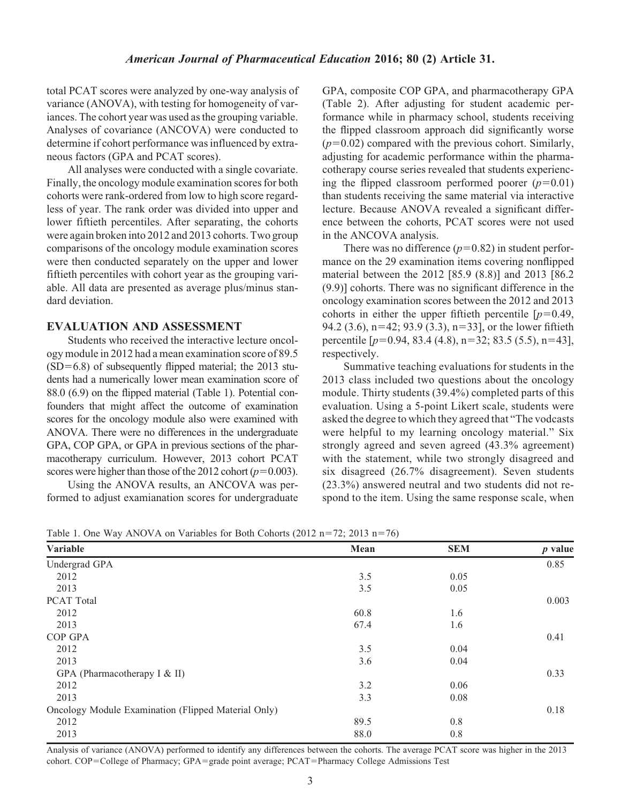total PCAT scores were analyzed by one-way analysis of variance (ANOVA), with testing for homogeneity of variances. The cohort year was used as the grouping variable. Analyses of covariance (ANCOVA) were conducted to determine if cohort performance was influenced by extraneous factors (GPA and PCAT scores).

All analyses were conducted with a single covariate. Finally, the oncology module examination scores for both cohorts were rank-ordered from low to high score regardless of year. The rank order was divided into upper and lower fiftieth percentiles. After separating, the cohorts were again broken into 2012 and 2013 cohorts. Two group comparisons of the oncology module examination scores were then conducted separately on the upper and lower fiftieth percentiles with cohort year as the grouping variable. All data are presented as average plus/minus standard deviation.

#### EVALUATION AND ASSESSMENT

Students who received the interactive lecture oncology module in 2012 had a mean examination score of 89.5  $(SD=6.8)$  of subsequently flipped material; the 2013 students had a numerically lower mean examination score of 88.0 (6.9) on the flipped material (Table 1). Potential confounders that might affect the outcome of examination scores for the oncology module also were examined with ANOVA. There were no differences in the undergraduate GPA, COP GPA, or GPA in previous sections of the pharmacotherapy curriculum. However, 2013 cohort PCAT scores were higher than those of the 2012 cohort ( $p=0.003$ ).

Using the ANOVA results, an ANCOVA was performed to adjust examianation scores for undergraduate

GPA, composite COP GPA, and pharmacotherapy GPA (Table 2). After adjusting for student academic performance while in pharmacy school, students receiving the flipped classroom approach did significantly worse  $(p=0.02)$  compared with the previous cohort. Similarly, adjusting for academic performance within the pharmacotherapy course series revealed that students experiencing the flipped classroom performed poorer  $(p=0.01)$ than students receiving the same material via interactive lecture. Because ANOVA revealed a significant difference between the cohorts, PCAT scores were not used in the ANCOVA analysis.

There was no difference  $(p=0.82)$  in student performance on the 29 examination items covering nonflipped material between the 2012 [85.9 (8.8)] and 2013 [86.2 (9.9)] cohorts. There was no significant difference in the oncology examination scores between the 2012 and 2013 cohorts in either the upper fiftieth percentile  $[p=0.49,$ 94.2 (3.6),  $n=42$ ; 93.9 (3.3),  $n=33$ ], or the lower fiftieth percentile  $[p=0.94, 83.4 (4.8), n=32; 83.5 (5.5), n=43]$ , respectively.

Summative teaching evaluations for students in the 2013 class included two questions about the oncology module. Thirty students (39.4%) completed parts of this evaluation. Using a 5-point Likert scale, students were asked the degree to which they agreed that "The vodcasts were helpful to my learning oncology material." Six strongly agreed and seven agreed (43.3% agreement) with the statement, while two strongly disagreed and six disagreed (26.7% disagreement). Seven students (23.3%) answered neutral and two students did not respond to the item. Using the same response scale, when

Table 1. One Way ANOVA on Variables for Both Cohorts (2012 n=72; 2013 n=76)

| Variable                                            | Mean | <b>SEM</b> | <i>p</i> value<br>0.85 |  |
|-----------------------------------------------------|------|------------|------------------------|--|
| Undergrad GPA                                       |      |            |                        |  |
| 2012                                                | 3.5  | 0.05       |                        |  |
| 2013                                                | 3.5  | 0.05       |                        |  |
| PCAT Total                                          |      |            | 0.003                  |  |
| 2012                                                | 60.8 | 1.6        |                        |  |
| 2013                                                | 67.4 | 1.6        |                        |  |
| COP GPA                                             |      |            | 0.41                   |  |
| 2012                                                | 3.5  | 0.04       |                        |  |
| 2013                                                | 3.6  | 0.04       |                        |  |
| GPA (Pharmacotherapy I & II)                        |      |            | 0.33                   |  |
| 2012                                                | 3.2  | 0.06       |                        |  |
| 2013                                                | 3.3  | 0.08       |                        |  |
| Oncology Module Examination (Flipped Material Only) |      |            | 0.18                   |  |
| 2012                                                | 89.5 | 0.8        |                        |  |
| 2013                                                | 88.0 | 0.8        |                        |  |

Analysis of variance (ANOVA) performed to identify any differences between the cohorts. The average PCAT score was higher in the 2013 cohort. COP=College of Pharmacy; GPA=grade point average; PCAT=Pharmacy College Admissions Test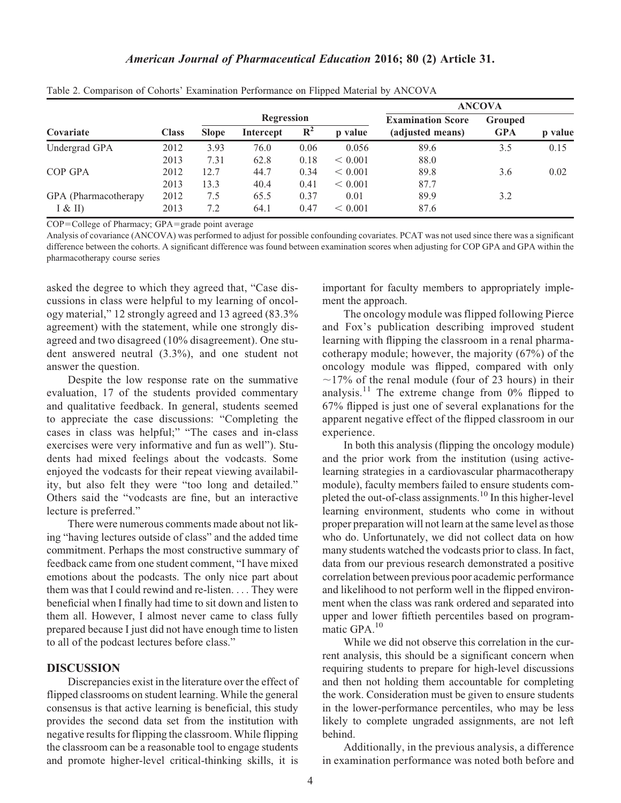|                       |              |                   |           |                |                          | <b>ANCOVA</b>    |            |         |
|-----------------------|--------------|-------------------|-----------|----------------|--------------------------|------------------|------------|---------|
|                       |              | <b>Regression</b> |           |                | <b>Examination Score</b> | Grouped          |            |         |
| Covariate             | <b>Class</b> | <b>Slope</b>      | Intercept | $\mathbf{R}^2$ | p value                  | (adjusted means) | <b>GPA</b> | p value |
| Undergrad GPA         | 2012         | 3.93              | 76.0      | 0.06           | 0.056                    | 89.6             | 3.5        | 0.15    |
|                       | 2013         | 7.31              | 62.8      | 0.18           | < 0.001                  | 88.0             |            |         |
| COP GPA               | 2012         | 12.7              | 44.7      | 0.34           | < 0.001                  | 89.8             | 3.6        | 0.02    |
|                       | 2013         | 13.3              | 40.4      | 0.41           | < 0.001                  | 87.7             |            |         |
| GPA (Pharmacotherapy) | 2012         | 7.5               | 65.5      | 0.37           | 0.01                     | 89.9             | 3.2        |         |
| I & II)               | 2013         | 7.2               | 64.1      | 0.47           | < 0.001                  | 87.6             |            |         |

Table 2. Comparison of Cohorts' Examination Performance on Flipped Material by ANCOVA

 $COP = College$  of Pharmacy;  $GPA = grade$  point average

Analysis of covariance (ANCOVA) was performed to adjust for possible confounding covariates. PCAT was not used since there was a significant difference between the cohorts. A significant difference was found between examination scores when adjusting for COP GPA and GPA within the pharmacotherapy course series

asked the degree to which they agreed that, "Case discussions in class were helpful to my learning of oncology material," 12 strongly agreed and 13 agreed (83.3% agreement) with the statement, while one strongly disagreed and two disagreed (10% disagreement). One student answered neutral (3.3%), and one student not answer the question.

Despite the low response rate on the summative evaluation, 17 of the students provided commentary and qualitative feedback. In general, students seemed to appreciate the case discussions: "Completing the cases in class was helpful;" "The cases and in-class exercises were very informative and fun as well"). Students had mixed feelings about the vodcasts. Some enjoyed the vodcasts for their repeat viewing availability, but also felt they were "too long and detailed." Others said the "vodcasts are fine, but an interactive lecture is preferred."

There were numerous comments made about not liking "having lectures outside of class" and the added time commitment. Perhaps the most constructive summary of feedback came from one student comment, "I have mixed emotions about the podcasts. The only nice part about them was that I could rewind and re-listen. ... They were beneficial when I finally had time to sit down and listen to them all. However, I almost never came to class fully prepared because I just did not have enough time to listen to all of the podcast lectures before class."

#### DISCUSSION

Discrepancies exist in the literature over the effect of flipped classrooms on student learning. While the general consensus is that active learning is beneficial, this study provides the second data set from the institution with negative results for flipping the classroom. While flipping the classroom can be a reasonable tool to engage students and promote higher-level critical-thinking skills, it is

important for faculty members to appropriately implement the approach.

The oncology module was flipped following Pierce and Fox's publication describing improved student learning with flipping the classroom in a renal pharmacotherapy module; however, the majority (67%) of the oncology module was flipped, compared with only  $\sim$ 17% of the renal module (four of 23 hours) in their analysis.<sup>11</sup> The extreme change from  $0\%$  flipped to 67% flipped is just one of several explanations for the apparent negative effect of the flipped classroom in our experience.

In both this analysis (flipping the oncology module) and the prior work from the institution (using activelearning strategies in a cardiovascular pharmacotherapy module), faculty members failed to ensure students completed the out-of-class assignments.<sup>10</sup> In this higher-level learning environment, students who come in without proper preparation will not learn at the same level as those who do. Unfortunately, we did not collect data on how many students watched the vodcasts prior to class. In fact, data from our previous research demonstrated a positive correlation between previous poor academic performance and likelihood to not perform well in the flipped environment when the class was rank ordered and separated into upper and lower fiftieth percentiles based on programmatic GPA.10

While we did not observe this correlation in the current analysis, this should be a significant concern when requiring students to prepare for high-level discussions and then not holding them accountable for completing the work. Consideration must be given to ensure students in the lower-performance percentiles, who may be less likely to complete ungraded assignments, are not left behind.

Additionally, in the previous analysis, a difference in examination performance was noted both before and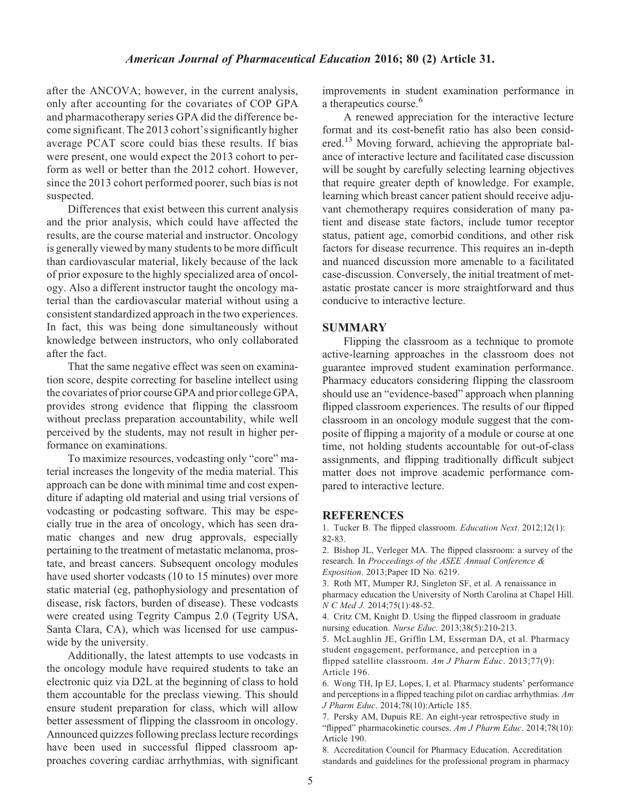after the ANCOVA; however, in the current analysis, only after accounting for the covariates of COP GPA and pharmacotherapy series GPA did the difference become significant. The 2013 cohort's significantly higher average PCAT score could bias these results. If bias were present, one would expect the 2013 cohort to perform as well or better than the 2012 cohort. However, since the 2013 cohort performed poorer, such bias is not suspected.

Differences that exist between this current analysis and the prior analysis, which could have affected the results, are the course material and instructor. Oncology is generally viewed by many students to be more difficult than cardiovascular material, likely because of the lack of prior exposure to the highly specialized area of oncology. Also a different instructor taught the oncology material than the cardiovascular material without using a consistent standardized approach in the two experiences. In fact, this was being done simultaneously without knowledge between instructors, who only collaborated after the fact.

That the same negative effect was seen on examination score, despite correcting for baseline intellect using the covariates of prior course GPA and prior college GPA, provides strong evidence that flipping the classroom without preclass preparation accountability, while well perceived by the students, may not result in higher performance on examinations.

To maximize resources, vodcasting only "core" material increases the longevity of the media material. This approach can be done with minimal time and cost expenditure if adapting old material and using trial versions of vodcasting or podcasting software. This may be especially true in the area of oncology, which has seen dramatic changes and new drug approvals, especially pertaining to the treatment of metastatic melanoma, prostate, and breast cancers. Subsequent oncology modules have used shorter vodcasts (10 to 15 minutes) over more static material (eg, pathophysiology and presentation of disease, risk factors, burden of disease). These vodcasts were created using Tegrity Campus 2.0 (Tegrity USA, Santa Clara, CA), which was licensed for use campuswide by the university.

Additionally, the latest attempts to use vodcasts in the oncology module have required students to take an electronic quiz via D2L at the beginning of class to hold them accountable for the preclass viewing. This should ensure student preparation for class, which will allow better assessment of flipping the classroom in oncology. Announced quizzes following preclass lecture recordings have been used in successful flipped classroom approaches covering cardiac arrhythmias, with significant improvements in student examination performance in a therapeutics course.<sup>6</sup>

A renewed appreciation for the interactive lecture format and its cost-benefit ratio has also been considered.<sup>13</sup> Moving forward, achieving the appropriate balance of interactive lecture and facilitated case discussion will be sought by carefully selecting learning objectives that require greater depth of knowledge. For example, learning which breast cancer patient should receive adjuvant chemotherapy requires consideration of many patient and disease state factors, include tumor receptor status, patient age, comorbid conditions, and other risk factors for disease recurrence. This requires an in-depth and nuanced discussion more amenable to a facilitated case-discussion. Conversely, the initial treatment of metastatic prostate cancer is more straightforward and thus conducive to interactive lecture.

#### SUMMARY

Flipping the classroom as a technique to promote active-learning approaches in the classroom does not guarantee improved student examination performance. Pharmacy educators considering flipping the classroom should use an "evidence-based" approach when planning flipped classroom experiences. The results of our flipped classroom in an oncology module suggest that the composite of flipping a majority of a module or course at one time, not holding students accountable for out-of-class assignments, and flipping traditionally difficult subject matter does not improve academic performance compared to interactive lecture.

#### **REFERENCES**

1. Tucker B. The flipped classroom. Education Next. 2012;12(1): 82-83.

2. Bishop JL, Verleger MA. The flipped classroom: a survey of the research. In Proceedings of the ASEE Annual Conference & Exposition. 2013;Paper ID No. 6219.

3. Roth MT, Mumper RJ, Singleton SF, et al. A renaissance in pharmacy education the University of North Carolina at Chapel Hill. N C Med J. 2014;75(1):48-52.

4. Critz CM, Knight D. Using the flipped classroom in graduate nursing education. Nurse Educ. 2013;38(5):210-213.

5. McLaughlin JE, Griffin LM, Esserman DA, et al. Pharmacy student engagement, performance, and perception in a flipped satellite classroom. Am J Pharm Educ. 2013;77(9):

Article 196.

6. Wong TH, Ip EJ, Lopes, I, et al. Pharmacy students' performance and perceptions in a flipped teaching pilot on cardiac arrhythmias. Am J Pharm Educ. 2014;78(10):Article 185.

7. Persky AM, Dupuis RE. An eight-year retrospective study in "flipped" pharmacokinetic courses. Am J Pharm Educ. 2014;78(10): Article 190.

8. Accreditation Council for Pharmacy Education. Accreditation standards and guidelines for the professional program in pharmacy